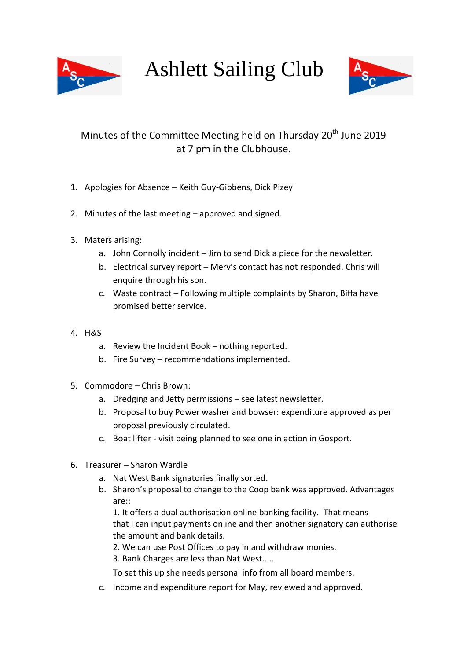

Ashlett Sailing Club



## Minutes of the Committee Meeting held on Thursday 20<sup>th</sup> June 2019 at 7 pm in the Clubhouse.

- 1. Apologies for Absence Keith Guy-Gibbens, Dick Pizey
- 2. Minutes of the last meeting approved and signed.
- 3. Maters arising:
	- a. John Connolly incident Jim to send Dick a piece for the newsletter.
	- b. Electrical survey report Merv's contact has not responded. Chris will enquire through his son.
	- c. Waste contract Following multiple complaints by Sharon, Biffa have promised better service.
- 4. H&S
	- a. Review the Incident Book nothing reported.
	- b. Fire Survey recommendations implemented.
- 5. Commodore Chris Brown:
	- a. Dredging and Jetty permissions see latest newsletter.
	- b. Proposal to buy Power washer and bowser: expenditure approved as per proposal previously circulated.
	- c. Boat lifter visit being planned to see one in action in Gosport.
- 6. Treasurer Sharon Wardle
	- a. Nat West Bank signatories finally sorted.
	- b. Sharon's proposal to change to the Coop bank was approved. Advantages are::

1. It offers a dual authorisation online banking facility. That means that I can input payments online and then another signatory can authorise the amount and bank details.

2. We can use Post Offices to pay in and withdraw monies.

3. Bank Charges are less than Nat West.....

To set this up she needs personal info from all board members.

c. Income and expenditure report for May, reviewed and approved.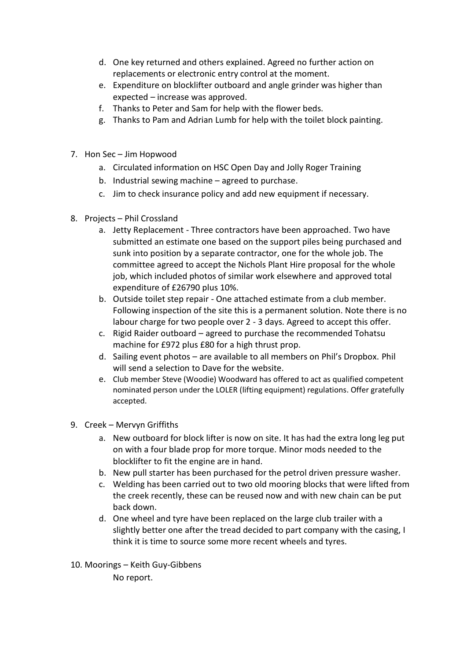- d. One key returned and others explained. Agreed no further action on replacements or electronic entry control at the moment.
- e. Expenditure on blocklifter outboard and angle grinder was higher than expected – increase was approved.
- f. Thanks to Peter and Sam for help with the flower beds.
- g. Thanks to Pam and Adrian Lumb for help with the toilet block painting.
- 7. Hon Sec Jim Hopwood
	- a. Circulated information on HSC Open Day and Jolly Roger Training
	- b. Industrial sewing machine agreed to purchase.
	- c. Jim to check insurance policy and add new equipment if necessary.
- 8. Projects Phil Crossland
	- a. Jetty Replacement Three contractors have been approached. Two have submitted an estimate one based on the support piles being purchased and sunk into position by a separate contractor, one for the whole job. The committee agreed to accept the Nichols Plant Hire proposal for the whole job, which included photos of similar work elsewhere and approved total expenditure of £26790 plus 10%.
	- b. Outside toilet step repair One attached estimate from a club member. Following inspection of the site this is a permanent solution. Note there is no labour charge for two people over 2 - 3 days. Agreed to accept this offer.
	- c. Rigid Raider outboard agreed to purchase the recommended Tohatsu machine for £972 plus £80 for a high thrust prop.
	- d. Sailing event photos are available to all members on Phil's Dropbox. Phil will send a selection to Dave for the website.
	- e. Club member Steve (Woodie) Woodward has offered to act as qualified competent nominated person under the LOLER (lifting equipment) regulations. Offer gratefully accepted.
- 9. Creek Mervyn Griffiths
	- a. New outboard for block lifter is now on site. It has had the extra long leg put on with a four blade prop for more torque. Minor mods needed to the blocklifter to fit the engine are in hand.
	- b. New pull starter has been purchased for the petrol driven pressure washer.
	- c. Welding has been carried out to two old mooring blocks that were lifted from the creek recently, these can be reused now and with new chain can be put back down.
	- d. One wheel and tyre have been replaced on the large club trailer with a slightly better one after the tread decided to part company with the casing, I think it is time to source some more recent wheels and tyres.
- 10. Moorings Keith Guy-Gibbens

No report.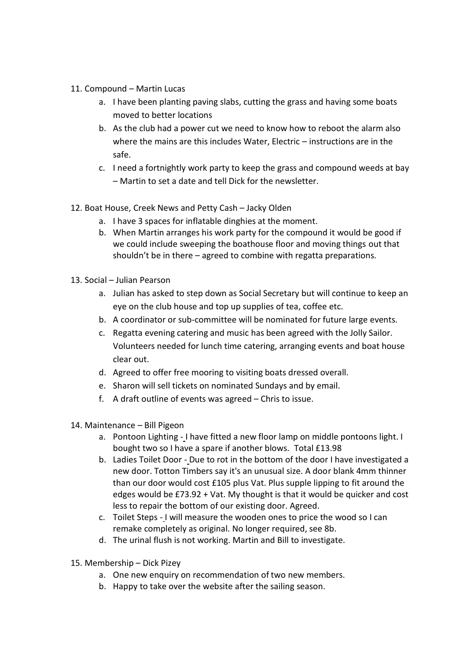- 11. Compound Martin Lucas
	- a. I have been planting paving slabs, cutting the grass and having some boats moved to better locations
	- b. As the club had a power cut we need to know how to reboot the alarm also where the mains are this includes Water, Electric – instructions are in the safe.
	- c. I need a fortnightly work party to keep the grass and compound weeds at bay – Martin to set a date and tell Dick for the newsletter.
- 12. Boat House, Creek News and Petty Cash Jacky Olden
	- a. I have 3 spaces for inflatable dinghies at the moment.
	- b. When Martin arranges his work party for the compound it would be good if we could include sweeping the boathouse floor and moving things out that shouldn't be in there – agreed to combine with regatta preparations.
- 13. Social Julian Pearson
	- a. Julian has asked to step down as Social Secretary but will continue to keep an eye on the club house and top up supplies of tea, coffee etc.
	- b. A coordinator or sub-committee will be nominated for future large events.
	- c. Regatta evening catering and music has been agreed with the Jolly Sailor. Volunteers needed for lunch time catering, arranging events and boat house clear out.
	- d. Agreed to offer free mooring to visiting boats dressed overall.
	- e. Sharon will sell tickets on nominated Sundays and by email.
	- f. A draft outline of events was agreed Chris to issue.
- 14. Maintenance Bill Pigeon
	- a. Pontoon Lighting I have fitted a new floor lamp on middle pontoons light. I bought two so I have a spare if another blows. Total £13.98
	- b. Ladies Toilet Door Due to rot in the bottom of the door I have investigated a new door. Totton Timbers say it's an unusual size. A door blank 4mm thinner than our door would cost £105 plus Vat. Plus supple lipping to fit around the edges would be £73.92 + Vat. My thought is that it would be quicker and cost less to repair the bottom of our existing door. Agreed.
	- c. Toilet Steps I will measure the wooden ones to price the wood so I can remake completely as original. No longer required, see 8b.
	- d. The urinal flush is not working. Martin and Bill to investigate.
- 15. Membership Dick Pizey
	- a. One new enquiry on recommendation of two new members.
	- b. Happy to take over the website after the sailing season.